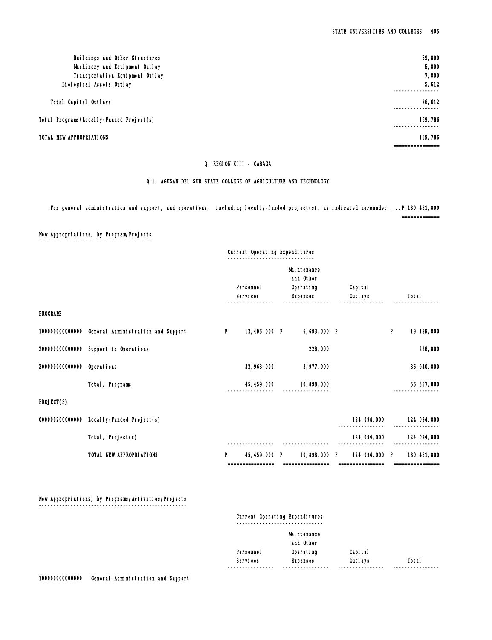## Q. REGION XIII - CARAGA

## Q.1. AGUSAN DEL SUR STATE COLLEGE OF AGRICULTURE AND TECHNOLOGY

For general administration and support, and operations, including locally-funded project(s), as indicated hereunder.....P 180,451,000

=============

New Appropriations, by Program/Projects ¯¯¯¯¯¯¯¯¯¯¯¯¯¯¯¯¯¯¯¯¯¯¯¯¯¯¯¯¯¯¯¯¯¯¯¯¯¯¯

|                 |                                    |   | Current Operating Expenditures    |   |                                                           |   |                     |   |                                   |
|-----------------|------------------------------------|---|-----------------------------------|---|-----------------------------------------------------------|---|---------------------|---|-----------------------------------|
|                 |                                    |   | Personnel<br>Services             |   | Mai ntenance<br>and Other<br>Operating<br><b>Expenses</b> |   | Capi tal<br>Outlays |   | Total                             |
| <b>PROGRAMS</b> |                                    |   |                                   |   |                                                           |   |                     |   |                                   |
| 100000000000000 | General Administration and Support | P | 12,496,000 P                      |   | 6,693,000 P                                               |   |                     | P | 19, 189, 000                      |
| 20000000000000  | Support to Operations              |   |                                   |   | 228,000                                                   |   |                     |   | 228,000                           |
| 30000000000000  | Operations                         |   | 32, 963, 000                      |   | 3,977,000                                                 |   |                     |   | 36, 940, 000                      |
|                 | Total, Programs                    |   | 45, 459, 000                      |   | 10,898,000                                                |   |                     |   | 56, 357, 000                      |
| PROJECT(S)      |                                    |   |                                   |   |                                                           |   |                     |   |                                   |
| 000000200000000 | Local I y-Funded Project(s)        |   |                                   |   |                                                           |   | 124,094,000         |   | 124, 094, 000                     |
|                 | Total, Project(s)                  |   |                                   |   |                                                           |   | 124, 094, 000       |   | 124, 094, 000                     |
|                 | TOTAL NEW APPROPRIATIONS           | P | 45, 459, 000<br>================= | P | 10,898,000                                                | P | 124.094.000 P       |   | 180, 451, 000<br>================ |

 New Appropriations, by Programs/Activities/Projects ¯¯¯¯¯¯¯¯¯¯¯¯¯¯¯¯¯¯¯¯¯¯¯¯¯¯¯¯¯¯¯¯¯¯¯¯¯¯¯¯¯¯¯¯¯¯¯¯¯¯¯

## Current Operating Expenditures ¯¯¯¯¯¯¯¯¯¯¯¯¯¯¯¯¯¯¯¯¯¯¯¯¯¯¯¯¯¯

|                  | Mai ntenance    |           |           |
|------------------|-----------------|-----------|-----------|
|                  | and Other       |           |           |
| Personnel        | Operating       | Capi tal  |           |
| Services         | <b>Expenses</b> | Outlays   | Total     |
| ---------------- | -----------     | --------- | --------- |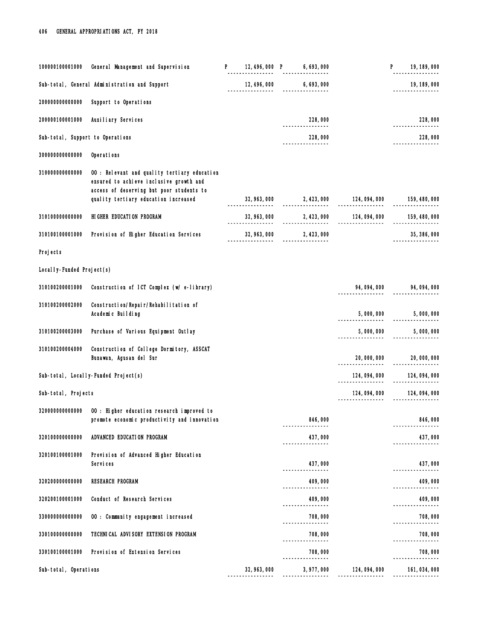| 100000100001000                  | General Management and Supervision                                                                                                                                          | P. |                   | $\begin{array}{cccc} 12,496,000 & P & 6,693,000 \\ - \end{array}$ |                                                | P. | 19, 189, 000                   |
|----------------------------------|-----------------------------------------------------------------------------------------------------------------------------------------------------------------------------|----|-------------------|-------------------------------------------------------------------|------------------------------------------------|----|--------------------------------|
|                                  | Sub-total, General Administration and Support                                                                                                                               |    |                   | $12,496,000$ 6,693,000                                            |                                                |    | 19, 189, 000<br>-------------- |
| 20000000000000                   | Support to Operations                                                                                                                                                       |    |                   |                                                                   |                                                |    |                                |
| 200000100001000                  | Auxiliary Services                                                                                                                                                          |    |                   | 228,000                                                           |                                                |    | 228,000                        |
| Sub-total, Support to Operations |                                                                                                                                                                             |    |                   | 228,000                                                           |                                                |    | 228,000<br>----------          |
| 300000000000000                  | Operations                                                                                                                                                                  |    |                   |                                                                   |                                                |    |                                |
| 310000000000000                  | 00 : Relevant and quality tertiary education<br>ensured to achieve inclusive growth and<br>access of deserving but poor students to<br>quality tertiary education increased |    |                   |                                                                   |                                                |    |                                |
|                                  |                                                                                                                                                                             |    | _________________ |                                                                   | $32,963,000$ 2,423,000 124,094,000 159,480,000 |    |                                |
| 310100000000000                  | HIGHER EDUCATION PROGRAM                                                                                                                                                    |    |                   |                                                                   |                                                |    | 159, 480, 000                  |
| 310100100001000                  | Provision of Higher Education Services                                                                                                                                      |    |                   | 32, 963, 000 2, 423, 000                                          |                                                |    | 35, 386, 000                   |
| Projects                         |                                                                                                                                                                             |    |                   |                                                                   |                                                |    |                                |
| Local I y-Funded Project(s)      |                                                                                                                                                                             |    |                   |                                                                   |                                                |    |                                |
| 310100200001000                  | Construction of ICT Complex (w/e-library)                                                                                                                                   |    |                   |                                                                   |                                                |    | 94, 094, 000 94, 094, 000      |
| 310100200002000                  | Construction/Repair/Rehabilitation of<br>Academic Building                                                                                                                  |    |                   |                                                                   | $5,000,000$ $5,000,000$                        |    |                                |
| 310100200003000                  | Purchase of Various Equipment Outlay                                                                                                                                        |    |                   |                                                                   | 5,000,000                                      |    | 5,000,000                      |
| 310100200004000                  | Construction of College Dormitory, ASSCAT<br>Bunawan, Agusan del Sur                                                                                                        |    |                   |                                                                   | 20,000,000                                     |    | 20,000,000                     |
|                                  | Sub-total, Locally-Funded Project(s)                                                                                                                                        |    |                   |                                                                   | 124, 094, 000                                  |    | 124, 094, 000                  |
| Sub-total, Projects              |                                                                                                                                                                             |    |                   |                                                                   | 124,094,000<br>----------------                |    | 124, 094, 000                  |
| 320000000000000                  | 00 : Higher education research improved to<br>promote economic productivity and innovation                                                                                  |    |                   | 846,000                                                           |                                                |    | 846,000                        |
| 320100000000000                  | ADVANCED EDUCATION PROGRAM                                                                                                                                                  |    |                   | 437,000                                                           |                                                |    | 437,000                        |
| 320100100001000                  | Provision of Advanced Higher Education<br>Services                                                                                                                          |    |                   | 437,000                                                           |                                                |    | 437,000                        |
| 320200000000000                  | <b>RESEARCH PROGRAM</b>                                                                                                                                                     |    |                   | ----------------<br>409,000                                       |                                                |    | 409,000                        |
| 320200100001000                  | Conduct of Research Services                                                                                                                                                |    |                   | ----------------<br>409,000                                       |                                                |    | 409,000                        |
| 330000000000000                  | 00 : Community engagement increased                                                                                                                                         |    |                   | ---------------<br>708,000                                        |                                                |    | -----------<br>708,000         |
| 330100000000000                  | TECHNICAL ADVISORY EXTENSION PROGRAM                                                                                                                                        |    |                   | 708,000                                                           |                                                |    | 708,000                        |
| 330100100001000                  | Provision of Extension Services                                                                                                                                             |    |                   | 708,000<br>----------------                                       |                                                |    | 708,000                        |
| Sub-total, Operations            |                                                                                                                                                                             |    | 32, 963, 000      | 3, 977, 000                                                       | 124,094,000                                    |    | 161, 034, 000                  |
|                                  |                                                                                                                                                                             |    |                   |                                                                   |                                                |    |                                |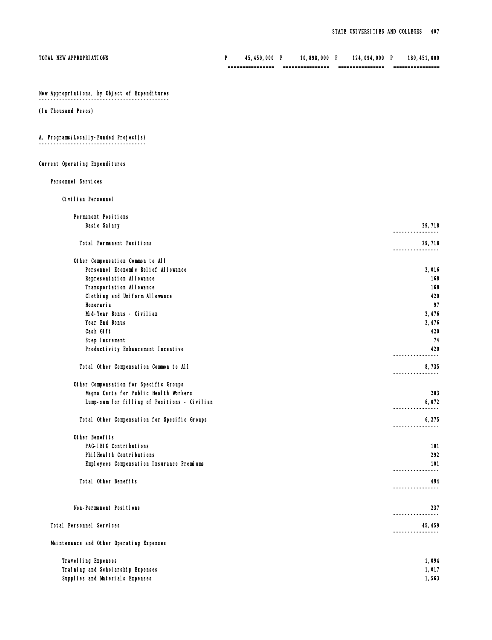| TOTAL NEW APPROPRIATIONS                      | P | 45, 459, 000 P | 10,898,000 P | 124,094,000 P | 180, 451, 000<br>================                                 |
|-----------------------------------------------|---|----------------|--------------|---------------|-------------------------------------------------------------------|
|                                               |   |                |              |               |                                                                   |
| New Appropriations, by Object of Expenditures |   |                |              |               |                                                                   |
| (In Thousand Pesos)                           |   |                |              |               |                                                                   |
| A. Programs/Local I y-Funded Project(s)       |   |                |              |               |                                                                   |
| Current Operating Expenditures                |   |                |              |               |                                                                   |
| Personnel Services                            |   |                |              |               |                                                                   |
| Civilian Personnel                            |   |                |              |               |                                                                   |
| Permanent Positions                           |   |                |              |               |                                                                   |
| Basic Salary                                  |   |                |              |               | 29,718<br>----------------                                        |
| Total Permanent Positions                     |   |                |              |               | 29,718<br>-------                                                 |
| Other Compensation Common to All              |   |                |              |               |                                                                   |
| Personnel Economic Relief Allowance           |   |                |              |               | 2,016                                                             |
| Representation Allowance                      |   |                |              |               | 168                                                               |
| Transportation Allowance                      |   |                |              |               | 168                                                               |
| Clothing and Uniform Allowance                |   |                |              |               | 420                                                               |
| Honoraria                                     |   |                |              |               | 97                                                                |
| Mid-Year Bonus - Civilian                     |   |                |              |               | 2,476                                                             |
| Year End Bonus                                |   |                |              |               | 2,476                                                             |
| Cash Gift                                     |   |                |              |               | 420                                                               |
| Step Increment                                |   |                |              |               | 74                                                                |
| Productivity Enhancement Incentive            |   |                |              |               | 420<br>------------                                               |
| Total Other Compensation Common to All        |   |                |              |               | 8,735                                                             |
| Other Compensation for Specific Groups        |   |                |              |               |                                                                   |
| Magna Carta for Public Health Workers         |   |                |              |               | 203                                                               |
| Lump-sum for filling of Positions - Civilian  |   |                |              |               | 6,072<br>----------                                               |
| Total Other Compensation for Specific Groups  |   |                |              |               | 6,275                                                             |
| Other Benefits                                |   |                |              |               |                                                                   |
| PAG-IBIG Contributions                        |   |                |              |               | 101                                                               |
| PhilHealth Contributions                      |   |                |              |               | 292                                                               |
| Employees Compensation Insurance Premiums     |   |                |              |               | 101<br>------------                                               |
| Total Other Benefits                          |   |                |              |               | 494<br>.                                                          |
| Non-Permanent Positions                       |   |                |              |               | 237                                                               |
| Total Personnel Services                      |   |                |              |               | . _ _ _ _ _ _ _ _ _ _ _ _ _<br>45, 459<br>. _ _ _ _ _ _ _ _ _ _ _ |
| Maintenance and Other Operating Expenses      |   |                |              |               |                                                                   |
| Travel I ing Expenses                         |   |                |              |               | 1,094                                                             |
| Training and Scholarship Expenses             |   |                |              |               | 1,017                                                             |
| Supplies and Materials Expenses               |   |                |              |               | 1,563                                                             |